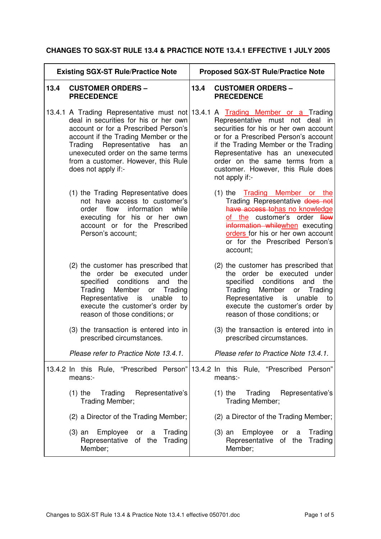## **CHANGES TO SGX-ST RULE 13.4 & PRACTICE NOTE 13.4.1 EFFECTIVE 1 JULY 2005**

| <b>Existing SGX-ST Rule/Practice Note</b> |                                                                                                                                                                                                                                                                  | <b>Proposed SGX-ST Rule/Practice Note</b> |                                                                                                                                                                                                                                                                                                                                                                           |
|-------------------------------------------|------------------------------------------------------------------------------------------------------------------------------------------------------------------------------------------------------------------------------------------------------------------|-------------------------------------------|---------------------------------------------------------------------------------------------------------------------------------------------------------------------------------------------------------------------------------------------------------------------------------------------------------------------------------------------------------------------------|
| 13.4                                      | <b>CUSTOMER ORDERS -</b><br><b>PRECEDENCE</b>                                                                                                                                                                                                                    | 13.4                                      | <b>CUSTOMER ORDERS -</b><br><b>PRECEDENCE</b>                                                                                                                                                                                                                                                                                                                             |
|                                           | deal in securities for his or her own<br>account or for a Prescribed Person's<br>account if the Trading Member or the<br>Trading Representative<br>has<br>an<br>unexecuted order on the same terms<br>from a customer. However, this Rule<br>does not apply if:- |                                           | 13.4.1 A Trading Representative must not 13.4.1 A Trading Member or a Trading<br>Representative must not<br>deal in<br>securities for his or her own account<br>or for a Prescribed Person's account<br>if the Trading Member or the Trading<br>Representative has an unexecuted<br>order on the same terms from a<br>customer. However, this Rule does<br>not apply if:- |
|                                           | (1) the Trading Representative does<br>not have access to customer's<br>information<br>order flow<br>while<br>executing for his or her own<br>account or for the Prescribed<br>Person's account;                                                                 |                                           | (1) the <b>Trading Member</b> or the<br>Trading Representative does not<br>have access to has no knowledge<br>of the customer's order flow<br>information whilewhen executing<br>orders for his or her own account<br>or for the Prescribed Person's<br>account;                                                                                                          |
|                                           | (2) the customer has prescribed that<br>the order be executed under<br>specified conditions<br>the<br>and<br>Trading<br>Member<br>or<br>Trading<br>Representative is<br>unable<br>to<br>execute the customer's order by<br>reason of those conditions; or        |                                           | (2) the customer has prescribed that<br>the order be executed<br>under<br>specified<br>conditions<br>the<br>and<br>Trading<br>Member or<br>Trading<br>Representative is unable<br>to<br>execute the customer's order by<br>reason of those conditions; or                                                                                                                 |
|                                           | (3) the transaction is entered into in<br>prescribed circumstances.                                                                                                                                                                                              |                                           | (3) the transaction is entered into in<br>prescribed circumstances.                                                                                                                                                                                                                                                                                                       |
|                                           | Please refer to Practice Note 13.4.1.                                                                                                                                                                                                                            |                                           | Please refer to Practice Note 13.4.1.                                                                                                                                                                                                                                                                                                                                     |
|                                           | 13.4.2 In this Rule, "Prescribed Person"<br>means:-                                                                                                                                                                                                              |                                           | 13.4.2 In this Rule, "Prescribed Person"<br>means:-                                                                                                                                                                                                                                                                                                                       |
|                                           | Trading<br>Representative's<br>$(1)$ the<br>Trading Member;                                                                                                                                                                                                      |                                           | Trading<br>Representative's<br>$(1)$ the<br>Trading Member;                                                                                                                                                                                                                                                                                                               |
|                                           | (2) a Director of the Trading Member;                                                                                                                                                                                                                            |                                           | (2) a Director of the Trading Member;                                                                                                                                                                                                                                                                                                                                     |
|                                           | Employee<br>Trading<br>(3) an<br>or<br>a<br>Representative<br>of the<br>Trading<br>Member;                                                                                                                                                                       |                                           | Employee<br>Trading<br>$(3)$ an<br>or<br>a<br>of the<br>Representative<br>Trading<br>Member;                                                                                                                                                                                                                                                                              |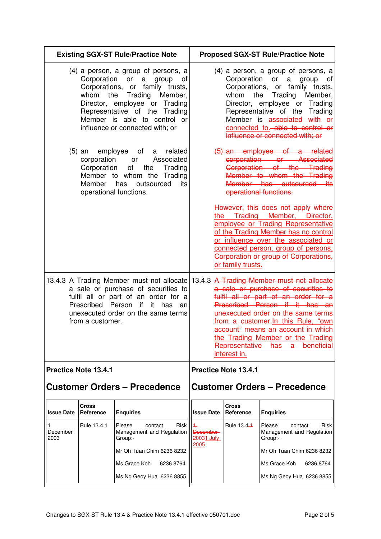| <b>Existing SGX-ST Rule/Practice Note</b>                                                                                                                                                                                        |                           |                                                                                                                                                                                                                                                                      |                                       |                                                                                                                                                                                | <b>Proposed SGX-ST Rule/Practice Note</b>                                                                                                                                                                                                                                                                                                    |
|----------------------------------------------------------------------------------------------------------------------------------------------------------------------------------------------------------------------------------|---------------------------|----------------------------------------------------------------------------------------------------------------------------------------------------------------------------------------------------------------------------------------------------------------------|---------------------------------------|--------------------------------------------------------------------------------------------------------------------------------------------------------------------------------|----------------------------------------------------------------------------------------------------------------------------------------------------------------------------------------------------------------------------------------------------------------------------------------------------------------------------------------------|
|                                                                                                                                                                                                                                  | Corporation               | (4) a person, a group of persons, a<br>or<br>a<br>group<br>οf<br>Corporations, or family trusts,<br>whom the Trading<br>Member,<br>Director, employee or Trading<br>Representative of the Trading<br>Member is able to control or<br>influence or connected with; or |                                       | Corporation<br>whom the                                                                                                                                                        | (4) a person, a group of persons, a<br>or<br>a<br>group<br>of<br>Corporations, or family trusts,<br>Trading<br>Member,<br>Director, employee or Trading<br>Representative of the<br>Trading<br>Member is associated with or<br>connected to.-able to control or<br>influence or connected with; or                                           |
| employee of<br>related<br>(5) an<br>a<br>corporation<br>Associated<br>or<br>Corporation<br>of<br>the<br>Trading<br>Member to whom the<br>Trading<br>Member<br>has<br>its<br>outsourced<br>operational functions.                 |                           |                                                                                                                                                                                                                                                                      |                                       | $(5)$ an employee of a related<br>corporation or Associated<br>Corporation of the Trading<br>Member to whom the Trading<br>Member has outsourced its<br>operational functions. |                                                                                                                                                                                                                                                                                                                                              |
|                                                                                                                                                                                                                                  |                           |                                                                                                                                                                                                                                                                      | the                                   | Trading<br>or family trusts.                                                                                                                                                   | However, this does not apply where<br>Member,<br>Director,<br>employee or Trading Representative<br>of the Trading Member has no control<br>or influence over the associated or<br>connected person, group of persons,<br>Corporation or group of Corporations,                                                                              |
| 13.4.3 A Trading Member must not allocate<br>a sale or purchase of securities to<br>fulfil all or part of an order for a<br>Prescribed Person<br>if<br>it<br>has<br>an<br>unexecuted order on the same terms<br>from a customer. |                           |                                                                                                                                                                                                                                                                      |                                       | <b>Representative</b><br>interest in.                                                                                                                                          | 13.4.3 A Trading Member must not allocate<br>a sale or purchase of securities to<br>fulfil all or part of an order for a<br>Prescribed Person if it has an<br>unexecuted order on the same terms<br>from a customer. In this Rule, "own<br>account" means an account in which<br>the Trading Member or the Trading<br>beneficial<br>has<br>a |
| <b>Practice Note 13.4.1</b>                                                                                                                                                                                                      |                           |                                                                                                                                                                                                                                                                      |                                       | <b>Practice Note 13.4.1</b>                                                                                                                                                    |                                                                                                                                                                                                                                                                                                                                              |
| <b>Customer Orders - Precedence</b>                                                                                                                                                                                              |                           |                                                                                                                                                                                                                                                                      |                                       |                                                                                                                                                                                | <b>Customer Orders - Precedence</b>                                                                                                                                                                                                                                                                                                          |
| <b>Issue Date</b>                                                                                                                                                                                                                | <b>Cross</b><br>Reference | <b>Enquiries</b>                                                                                                                                                                                                                                                     | <b>Issue Date</b>                     | <b>Cross</b><br>Reference                                                                                                                                                      | <b>Enquiries</b>                                                                                                                                                                                                                                                                                                                             |
| 1<br>December<br>2003                                                                                                                                                                                                            | Rule 13.4.1               | Please<br>contact<br>Risk<br>Management and Regulation<br>Group:-                                                                                                                                                                                                    | <b>December</b><br>20031 July<br>2005 | Rule 13.4.1                                                                                                                                                                    | Please<br>Risk<br>contact<br>Management and Regulation<br>Group:-                                                                                                                                                                                                                                                                            |
|                                                                                                                                                                                                                                  |                           | Mr Oh Tuan Chim 6236 8232                                                                                                                                                                                                                                            |                                       |                                                                                                                                                                                | Mr Oh Tuan Chim 6236 8232                                                                                                                                                                                                                                                                                                                    |
|                                                                                                                                                                                                                                  |                           | Ms Grace Koh<br>6236 8764                                                                                                                                                                                                                                            |                                       |                                                                                                                                                                                | Ms Grace Koh<br>6236 8764                                                                                                                                                                                                                                                                                                                    |
|                                                                                                                                                                                                                                  |                           | Ms Ng Geoy Hua 6236 8855                                                                                                                                                                                                                                             |                                       |                                                                                                                                                                                | Ms Ng Geoy Hua 6236 8855                                                                                                                                                                                                                                                                                                                     |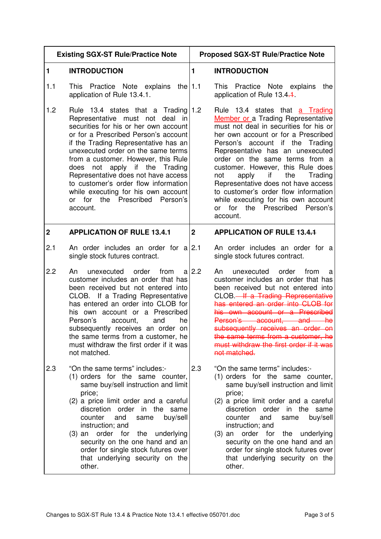| <b>Existing SGX-ST Rule/Practice Note</b> |                                                                                                                                                                                                                                                                                                                                                                                                                                                                                                | <b>Proposed SGX-ST Rule/Practice Note</b> |                                                                                                                                                                                                                                                                                                                                                                                                                                                                                                                           |
|-------------------------------------------|------------------------------------------------------------------------------------------------------------------------------------------------------------------------------------------------------------------------------------------------------------------------------------------------------------------------------------------------------------------------------------------------------------------------------------------------------------------------------------------------|-------------------------------------------|---------------------------------------------------------------------------------------------------------------------------------------------------------------------------------------------------------------------------------------------------------------------------------------------------------------------------------------------------------------------------------------------------------------------------------------------------------------------------------------------------------------------------|
| 1                                         | <b>INTRODUCTION</b>                                                                                                                                                                                                                                                                                                                                                                                                                                                                            | 1                                         | <b>INTRODUCTION</b>                                                                                                                                                                                                                                                                                                                                                                                                                                                                                                       |
| 1.1                                       | This Practice Note explains<br>the $ 1.1$<br>application of Rule 13.4.1.                                                                                                                                                                                                                                                                                                                                                                                                                       |                                           | This Practice Note explains<br>the<br>application of Rule 13.4.1.                                                                                                                                                                                                                                                                                                                                                                                                                                                         |
| 1.2                                       | Rule 13.4 states that a Trading $ 1.2 $<br>Representative must not deal in<br>securities for his or her own account<br>or for a Prescribed Person's account<br>if the Trading Representative has an<br>unexecuted order on the same terms<br>from a customer. However, this Rule<br>does not apply if the Trading<br>Representative does not have access<br>to customer's order flow information<br>while executing for his own account<br>or for<br>the<br>Prescribed<br>Person's<br>account. |                                           | Rule 13.4 states that a Trading<br>Member or a Trading Representative<br>must not deal in securities for his or<br>her own account or for a Prescribed<br>Person's account if the Trading<br>Representative has an unexecuted<br>order on the same terms from a<br>customer. However, this Rule does<br>apply if<br>the<br>Trading<br>not<br>Representative does not have access<br>to customer's order flow information<br>while executing for his own account<br>Prescribed<br>for<br>the<br>Person's<br>or<br>account. |
| $\overline{2}$                            | <b>APPLICATION OF RULE 13.4.1</b>                                                                                                                                                                                                                                                                                                                                                                                                                                                              | $\overline{2}$                            | <b>APPLICATION OF RULE 13.4.4</b>                                                                                                                                                                                                                                                                                                                                                                                                                                                                                         |
| 2.1                                       | An order includes an order for a 2.1<br>single stock futures contract.                                                                                                                                                                                                                                                                                                                                                                                                                         |                                           | An order includes an order for a<br>single stock futures contract.                                                                                                                                                                                                                                                                                                                                                                                                                                                        |
| 2.2                                       | unexecuted<br>order<br>from<br>An<br>customer includes an order that has<br>been received but not entered into<br>CLOB. If a Trading Representative<br>has entered an order into CLOB for<br>his own account or a Prescribed<br>Person's<br>account,<br>and<br>he<br>subsequently receives an order on<br>the same terms from a customer, he<br>must withdraw the first order if it was<br>not matched.                                                                                        | $a$ 2.2                                   | unexecuted<br>order<br>from<br>An<br>a<br>customer includes an order that has<br>been received but not entered into<br>has entered an order into CLOB for<br>his own account or a Prescribed<br>Person's account, and he<br>subsequently receives an order on<br>the same terms from a customer, he<br>must withdraw the first order if it was<br>not matched.                                                                                                                                                            |
| 2.3                                       | "On the same terms" includes:-<br>(1) orders for the same counter,<br>same buy/sell instruction and limit<br>price;<br>(2) a price limit order and a careful<br>discretion order in the same<br>buy/sell<br>and<br>counter<br>same<br>instruction; and<br>(3) an order for the underlying<br>security on the one hand and an<br>order for single stock futures over<br>that underlying security on the<br>other.                                                                               | 2.3                                       | "On the same terms" includes:-<br>(1) orders for the same counter,<br>same buy/sell instruction and limit<br>price;<br>(2) a price limit order and a careful<br>discretion order in the same<br>buy/sell<br>counter<br>and<br>same<br>instruction; and<br>order for<br>the underlying<br>$(3)$ an<br>security on the one hand and an<br>order for single stock futures over<br>that underlying security on the<br>other.                                                                                                  |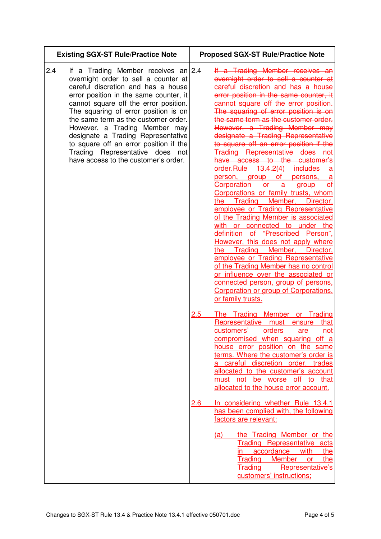| <b>Existing SGX-ST Rule/Practice Note</b>                                                                                                                                                                                                                                                                                                                                                                                                                                                  | <b>Proposed SGX-ST Rule/Practice Note</b>                                                                                                                                                                                                                                                                                                                                                                                                                                                                                                                                                                                                                                                                                                                                                                                                                                                                                                                                                                                                                                                                                                         |  |
|--------------------------------------------------------------------------------------------------------------------------------------------------------------------------------------------------------------------------------------------------------------------------------------------------------------------------------------------------------------------------------------------------------------------------------------------------------------------------------------------|---------------------------------------------------------------------------------------------------------------------------------------------------------------------------------------------------------------------------------------------------------------------------------------------------------------------------------------------------------------------------------------------------------------------------------------------------------------------------------------------------------------------------------------------------------------------------------------------------------------------------------------------------------------------------------------------------------------------------------------------------------------------------------------------------------------------------------------------------------------------------------------------------------------------------------------------------------------------------------------------------------------------------------------------------------------------------------------------------------------------------------------------------|--|
| 2.4<br>If a Trading Member receives an 2.4<br>overnight order to sell a counter at<br>careful discretion and has a house<br>error position in the same counter, it<br>cannot square off the error position.<br>The squaring of error position is on<br>the same term as the customer order.<br>However, a Trading Member may<br>designate a Trading Representative<br>to square off an error position if the<br>Trading Representative does<br>not<br>have access to the customer's order. | If a Trading Member receives an<br>overnight order to sell a counter at<br>careful discretion and has a house<br>error position in the same counter, it<br>cannot square off the error position.<br>The squaring of error position is on<br>the same term as the customer order.<br>However, a Trading Member may<br>designate a Trading Representative<br>to square off an error position if the<br>Trading Representative does not<br>have access to the customer's<br>order-Rule 13.4.2(4)<br>includes<br>а<br><b>of</b><br>person, group<br>persons,<br>a<br><b>Corporation</b><br>or<br>οf<br>a<br>group<br>Corporations or family trusts, whom<br>the Trading Member, Director,<br>employee or Trading Representative<br>of the Trading Member is associated<br>with<br>or connected to under the<br>of "Prescribed Person",<br>definition<br>However, this does not apply where<br>the Trading Member, Director,<br>employee or Trading Representative<br>of the Trading Member has no control<br>or influence over the associated or<br>connected person, group of persons,<br>Corporation or group of Corporations.<br>or family trusts. |  |
|                                                                                                                                                                                                                                                                                                                                                                                                                                                                                            | The Trading Member or Trading<br>2.5<br>Representative must<br>that<br>ensure<br>customers'<br>orders<br>are<br>not<br>compromised when squaring off a<br>house error position on the same<br>terms. Where the customer's order is<br>careful discretion order, trades<br>allocated to the customer's account<br>must not be worse off to that<br>allocated to the house error account.                                                                                                                                                                                                                                                                                                                                                                                                                                                                                                                                                                                                                                                                                                                                                           |  |
|                                                                                                                                                                                                                                                                                                                                                                                                                                                                                            | In considering whether Rule 13.4.1<br>$2.6\,$<br>has been complied with, the following<br>factors are relevant:<br>the Trading Member or the<br>(a)<br>Trading Representative acts<br>accordance<br>with<br>the<br>in.<br>Trading<br><b>Member</b><br>the<br><b>or</b><br>Trading<br>Representative's<br>customers' instructions;                                                                                                                                                                                                                                                                                                                                                                                                                                                                                                                                                                                                                                                                                                                                                                                                                 |  |